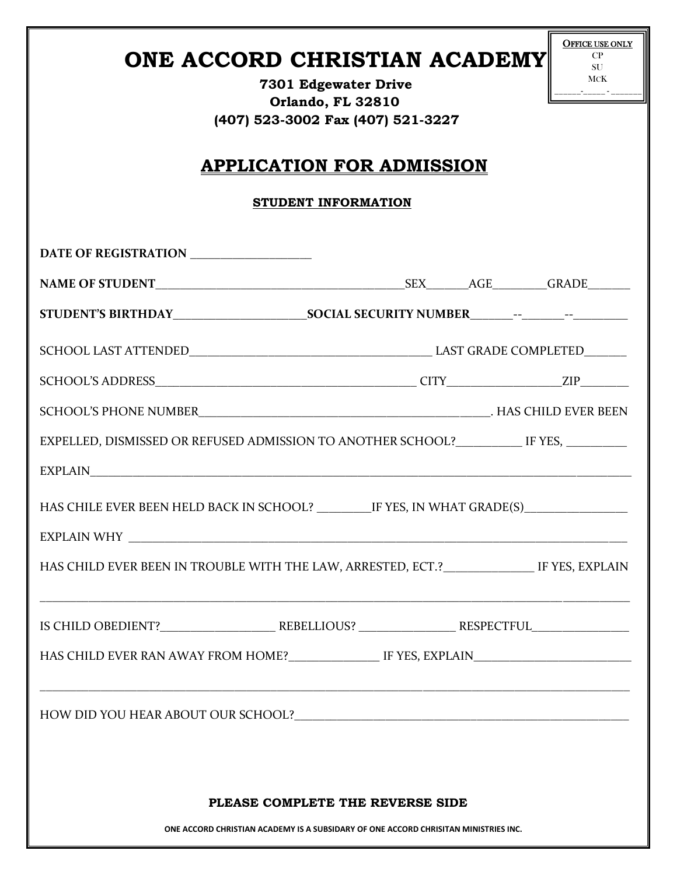| ONE ACCORD CHRISTIAN ACADEMY<br>7301 Edgewater Drive<br>Orlando, FL 32810<br>(407) 523-3002 Fax (407) 521-3227<br><b>APPLICATION FOR ADMISSION</b> |  |  | <b>OFFICE USE ONLY</b><br>CP<br>SU<br>MCK |  |
|----------------------------------------------------------------------------------------------------------------------------------------------------|--|--|-------------------------------------------|--|
| STUDENT INFORMATION                                                                                                                                |  |  |                                           |  |
| DATE OF REGISTRATION                                                                                                                               |  |  |                                           |  |
|                                                                                                                                                    |  |  |                                           |  |
|                                                                                                                                                    |  |  |                                           |  |
|                                                                                                                                                    |  |  |                                           |  |
|                                                                                                                                                    |  |  |                                           |  |
|                                                                                                                                                    |  |  |                                           |  |
| EXPELLED, DISMISSED OR REFUSED ADMISSION TO ANOTHER SCHOOL?___________ IF YES, ________                                                            |  |  |                                           |  |
|                                                                                                                                                    |  |  |                                           |  |
| HAS CHILE EVER BEEN HELD BACK IN SCHOOL? IF YES, IN WHAT GRADE(S)                                                                                  |  |  |                                           |  |
|                                                                                                                                                    |  |  |                                           |  |
| HAS CHILD EVER BEEN IN TROUBLE WITH THE LAW, ARRESTED, ECT.? _______________ IF YES, EXPLAIN                                                       |  |  |                                           |  |
|                                                                                                                                                    |  |  |                                           |  |
|                                                                                                                                                    |  |  |                                           |  |
|                                                                                                                                                    |  |  |                                           |  |
|                                                                                                                                                    |  |  |                                           |  |
| PLEASE COMPLETE THE REVERSE SIDE                                                                                                                   |  |  |                                           |  |
| ONE ACCORD CHRISTIAN ACADEMY IS A SUBSIDARY OF ONE ACCORD CHRISITAN MINISTRIES INC.                                                                |  |  |                                           |  |